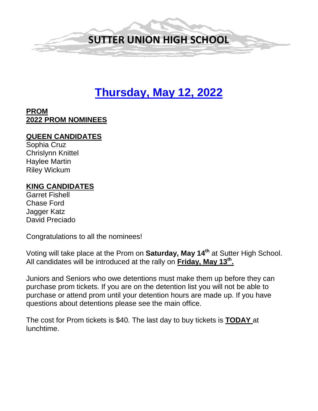

# **Thursday, May 12, 2022**

# **PROM 2022 PROM NOMINEES**

#### **QUEEN CANDIDATES**

Sophia Cruz Chrislynn Knittel Haylee Martin Riley Wickum

#### **KING CANDIDATES**

Garret Fishell Chase Ford Jagger Katz David Preciado

Congratulations to all the nominees!

Voting will take place at the Prom on **Saturday, May 14th** at Sutter High School. All candidates will be introduced at the rally on **Friday, May 13th.** 

Juniors and Seniors who owe detentions must make them up before they can purchase prom tickets. If you are on the detention list you will not be able to purchase or attend prom until your detention hours are made up. If you have questions about detentions please see the main office.

The cost for Prom tickets is \$40. The last day to buy tickets is **TODAY** at lunchtime.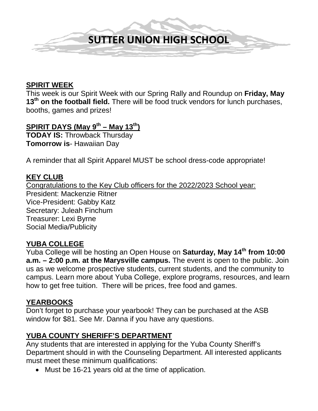

#### **SPIRIT WEEK**

This week is our Spirit Week with our Spring Rally and Roundup on **Friday, May**  13<sup>th</sup> on the football field. There will be food truck vendors for lunch purchases, booths, games and prizes!

# **SPIRIT DAYS (May 9th – May 13th)**

**TODAY IS:** Throwback Thursday **Tomorrow is**- Hawaiian Day

A reminder that all Spirit Apparel MUST be school dress-code appropriate!

#### **KEY CLUB**

Congratulations to the Key Club officers for the 2022/2023 School year: President: Mackenzie Ritner Vice-President: Gabby Katz Secretary: Juleah Finchum Treasurer: Lexi Byrne Social Media/Publicity

#### **YUBA COLLEGE**

Yuba College will be hosting an Open House on **Saturday, May 14th from 10:00 a.m. – 2:00 p.m. at the Marysville campus.** The event is open to the public. Join us as we welcome prospective students, current students, and the community to campus. Learn more about Yuba College, explore programs, resources, and learn how to get free tuition. There will be prices, free food and games.

#### **YEARBOOKS**

Don't forget to purchase your yearbook! They can be purchased at the ASB window for \$81. See Mr. Danna if you have any questions.

#### **YUBA COUNTY SHERIFF'S DEPARTMENT**

Any students that are interested in applying for the Yuba County Sheriff's Department should in with the Counseling Department. All interested applicants must meet these minimum qualifications:

• Must be 16-21 years old at the time of application.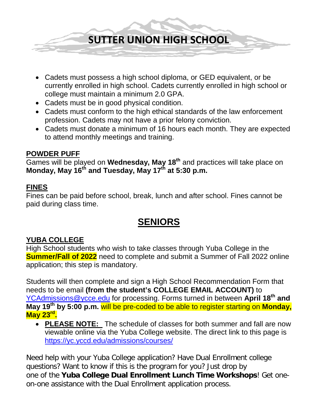**SUTTER UNION HIGH SCHOOL**

- Cadets must possess a high school diploma, or GED equivalent, or be currently enrolled in high school. Cadets currently enrolled in high school or college must maintain a minimum 2.0 GPA.
- Cadets must be in good physical condition.
- Cadets must conform to the high ethical standards of the law enforcement profession. Cadets may not have a prior felony conviction.
- Cadets must donate a minimum of 16 hours each month. They are expected to attend monthly meetings and training.

# **POWDER PUFF**

Games will be played on **Wednesday, May 18th** and practices will take place on **Monday, May 16th and Tuesday, May 17th at 5:30 p.m.** 

# **FINES**

Fines can be paid before school, break, lunch and after school. Fines cannot be paid during class time.

# **SENIORS**

# **YUBA COLLEGE**

High School students who wish to take classes through Yuba College in the **Summer/Fall of 2022** need to complete and submit a Summer of Fall 2022 online application; this step is mandatory.

Students will then complete and sign a High School Recommendation Form that needs to be email **(from the student's COLLEGE EMAIL ACCOUNT)** to [YCAdmissions@ycce.edu](mailto:YCAdmissions@ycce.edu) for processing. Forms turned in between **April 18th and May 19th by 5:00 p.m.** will be pre-coded to be able to register starting on **Monday, May 23rd.**

• **PLEASE NOTE:** The schedule of classes for both summer and fall are now viewable online via the Yuba College website. The direct link to this page is <https://yc.yccd.edu/admissions/courses/>

Need help with your Yuba College application? Have Dual Enrollment college questions? Want to know if this is the program for you? Just drop by one of the **Yuba College Dual Enrollment Lunch Time Workshops**! Get oneon-one assistance with the Dual Enrollment application process.